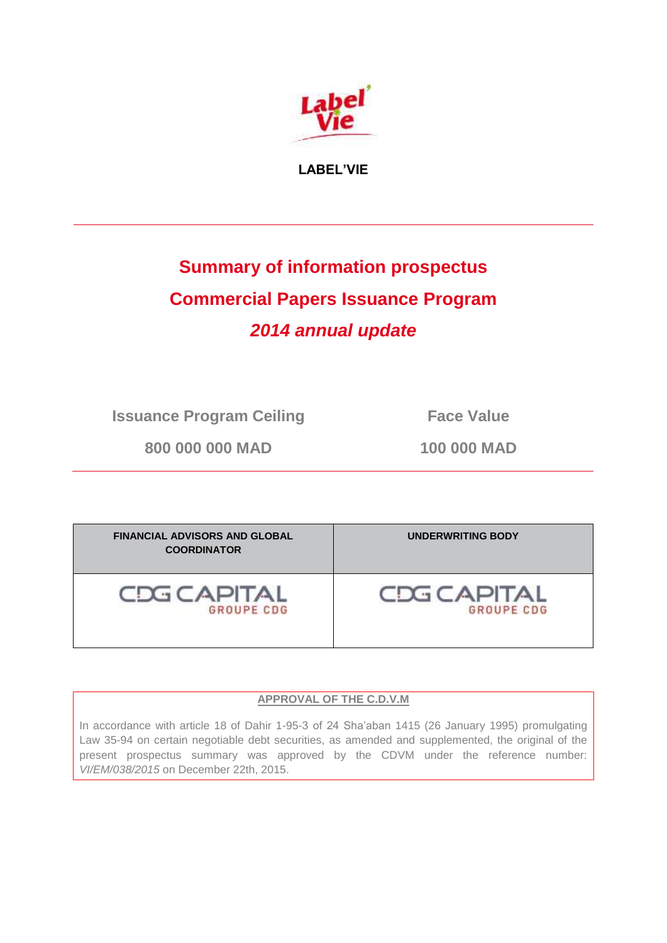

**LABEL'VIE**

# **Summary of information prospectus Commercial Papers Issuance Program** *2014 annual update*

**Issuance Program Ceiling Face Value** 

**800 000 000 MAD 100 000 MAD**

| <b>FINANCIAL ADVISORS AND GLOBAL</b><br><b>COORDINATOR</b> | <b>UNDERWRITING BODY</b> |
|------------------------------------------------------------|--------------------------|
| <b>CDG CAPITAL</b>                                         | <b>CDG CAPITAL</b>       |
| <b>GROUPE CDG</b>                                          | <b>GROUPE CDG</b>        |

# **APPROVAL OF THE C.D.V.M**

In accordance with article 18 of Dahir 1-95-3 of 24 Sha'aban 1415 (26 January 1995) promulgating Law 35-94 on certain negotiable debt securities, as amended and supplemented, the original of the present prospectus summary was approved by the CDVM under the reference number: *VI/EM/038/2015* on December 22th, 2015.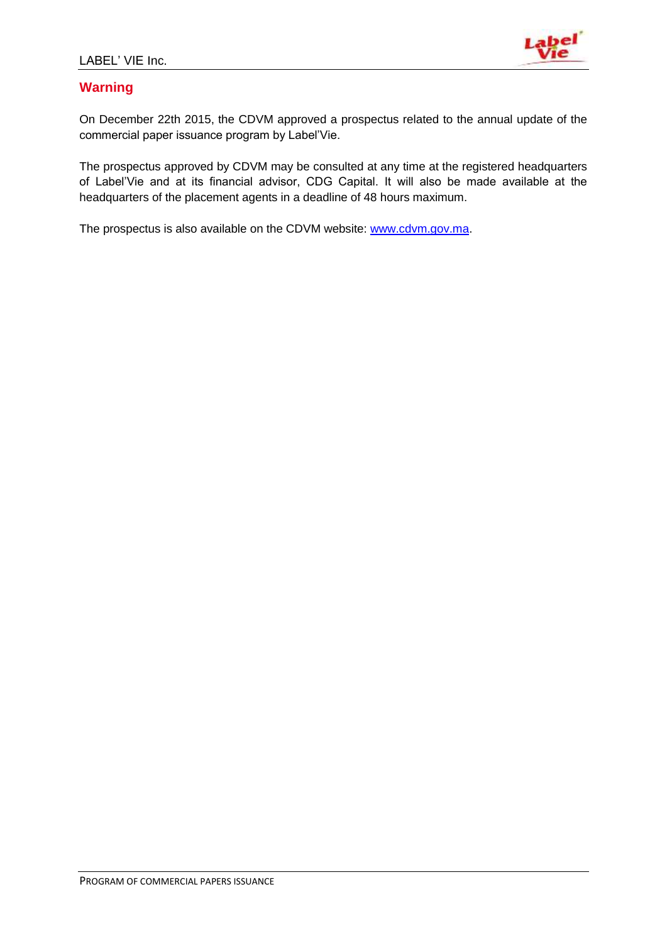

# **Warning**

On December 22th 2015, the CDVM approved a prospectus related to the annual update of the commercial paper issuance program by Label'Vie.

The prospectus approved by CDVM may be consulted at any time at the registered headquarters of Label'Vie and at its financial advisor, CDG Capital. It will also be made available at the headquarters of the placement agents in a deadline of 48 hours maximum.

The prospectus is also available on the CDVM website: [www.cdvm.gov.ma.](http://www.cdvm.gov.ma/)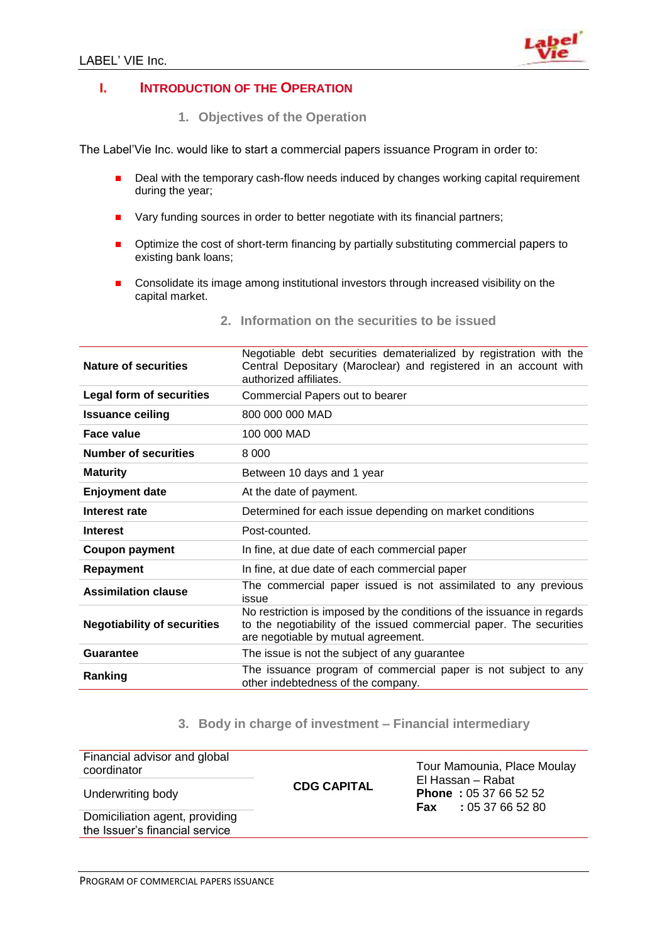

### **I. INTRODUCTION OF THE OPERATION**

**1. Objectives of the Operation** 

The Label'Vie Inc. would like to start a commercial papers issuance Program in order to:

- Deal with the temporary cash-flow needs induced by changes working capital requirement during the year;
- Vary funding sources in order to better negotiate with its financial partners;
- **•** Optimize the cost of short-term financing by partially substituting commercial papers to existing bank loans;
- Consolidate its image among institutional investors through increased visibility on the capital market.

| Nature of securities               | Negotiable debt securities dematerialized by registration with the<br>Central Depositary (Maroclear) and registered in an account with<br>authorized affiliates.                     |
|------------------------------------|--------------------------------------------------------------------------------------------------------------------------------------------------------------------------------------|
| <b>Legal form of securities</b>    | Commercial Papers out to bearer                                                                                                                                                      |
| <b>Issuance ceiling</b>            | 800 000 000 MAD                                                                                                                                                                      |
| Face value                         | 100 000 MAD                                                                                                                                                                          |
| <b>Number of securities</b>        | 8 0 0 0                                                                                                                                                                              |
| <b>Maturity</b>                    | Between 10 days and 1 year                                                                                                                                                           |
| <b>Enjoyment date</b>              | At the date of payment.                                                                                                                                                              |
| Interest rate                      | Determined for each issue depending on market conditions                                                                                                                             |
| <b>Interest</b>                    | Post-counted.                                                                                                                                                                        |
| <b>Coupon payment</b>              | In fine, at due date of each commercial paper                                                                                                                                        |
| Repayment                          | In fine, at due date of each commercial paper                                                                                                                                        |
| <b>Assimilation clause</b>         | The commercial paper issued is not assimilated to any previous<br>issue                                                                                                              |
| <b>Negotiability of securities</b> | No restriction is imposed by the conditions of the issuance in regards<br>to the negotiability of the issued commercial paper. The securities<br>are negotiable by mutual agreement. |
| <b>Guarantee</b>                   | The issue is not the subject of any guarantee                                                                                                                                        |
| Ranking                            | The issuance program of commercial paper is not subject to any<br>other indebtedness of the company.                                                                                 |

**2. Information on the securities to be issued**

### **3. Body in charge of investment – Financial intermediary**

| Financial advisor and global<br>coordinator                      |                    | Tour Mamounia, Place Moulay<br>El Hassan – Rabat            |  |  |  |
|------------------------------------------------------------------|--------------------|-------------------------------------------------------------|--|--|--|
| Underwriting body                                                | <b>CDG CAPITAL</b> | <b>Phone: 05 37 66 52 52</b><br><b>Fax</b> : 05 37 66 52 80 |  |  |  |
| Domiciliation agent, providing<br>the Issuer's financial service |                    |                                                             |  |  |  |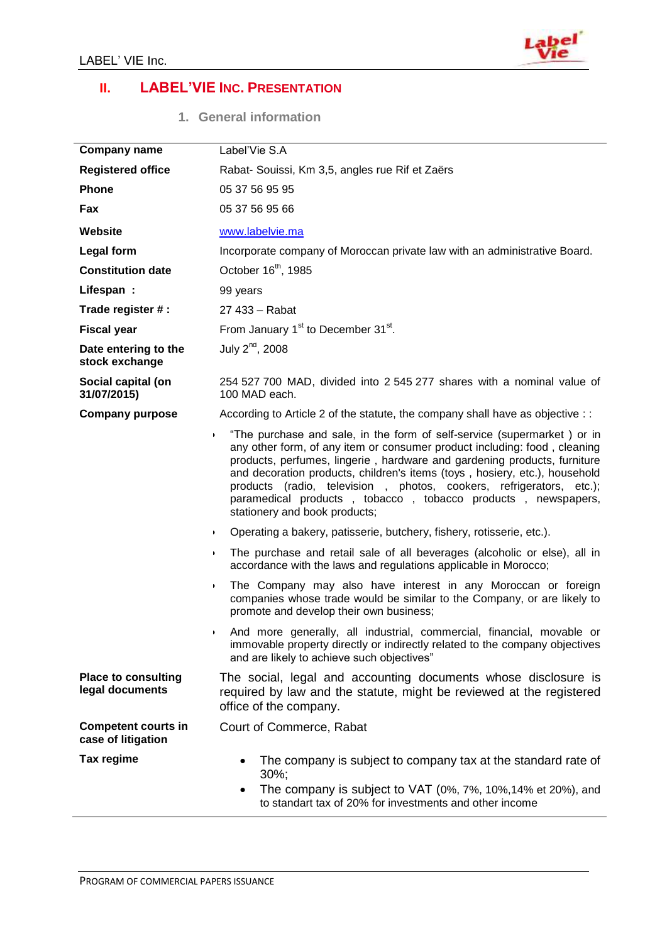

# **II. LABEL'VIE INC. PRESENTATION**

**1. General information** 

| <b>Company name</b>                              | Label'Vie S.A                                                                                                                                                                                                                                                                                                                                                                                                                                                                          |
|--------------------------------------------------|----------------------------------------------------------------------------------------------------------------------------------------------------------------------------------------------------------------------------------------------------------------------------------------------------------------------------------------------------------------------------------------------------------------------------------------------------------------------------------------|
| <b>Registered office</b>                         | Rabat- Souissi, Km 3,5, angles rue Rif et Zaërs                                                                                                                                                                                                                                                                                                                                                                                                                                        |
| Phone                                            | 05 37 56 95 95                                                                                                                                                                                                                                                                                                                                                                                                                                                                         |
| Fax                                              | 05 37 56 95 66                                                                                                                                                                                                                                                                                                                                                                                                                                                                         |
| <b>Website</b>                                   | www.labelvie.ma                                                                                                                                                                                                                                                                                                                                                                                                                                                                        |
| <b>Legal form</b>                                | Incorporate company of Moroccan private law with an administrative Board.                                                                                                                                                                                                                                                                                                                                                                                                              |
| <b>Constitution date</b>                         | October 16 <sup>th</sup> , 1985                                                                                                                                                                                                                                                                                                                                                                                                                                                        |
| Lifespan:                                        | 99 years                                                                                                                                                                                                                                                                                                                                                                                                                                                                               |
| Trade register # :                               | 27 433 - Rabat                                                                                                                                                                                                                                                                                                                                                                                                                                                                         |
| <b>Fiscal year</b>                               | From January 1 <sup>st</sup> to December 31 <sup>st</sup> .                                                                                                                                                                                                                                                                                                                                                                                                                            |
| Date entering to the<br>stock exchange           | July $2^{nd}$ , 2008                                                                                                                                                                                                                                                                                                                                                                                                                                                                   |
| Social capital (on<br>31/07/2015)                | 254 527 700 MAD, divided into 2 545 277 shares with a nominal value of<br>100 MAD each.                                                                                                                                                                                                                                                                                                                                                                                                |
| <b>Company purpose</b>                           | According to Article 2 of the statute, the company shall have as objective : :                                                                                                                                                                                                                                                                                                                                                                                                         |
| $\blacktriangleright$                            | "The purchase and sale, in the form of self-service (supermarket) or in<br>any other form, of any item or consumer product including: food, cleaning<br>products, perfumes, lingerie, hardware and gardening products, furniture<br>and decoration products, children's items (toys, hosiery, etc.), household<br>products (radio, television, photos, cookers, refrigerators, etc.);<br>paramedical products, tobacco, tobacco products, newspapers,<br>stationery and book products; |
|                                                  | Operating a bakery, patisserie, butchery, fishery, rotisserie, etc.).<br>$\blacktriangleright$                                                                                                                                                                                                                                                                                                                                                                                         |
|                                                  | The purchase and retail sale of all beverages (alcoholic or else), all in<br>$\blacktriangleright$<br>accordance with the laws and regulations applicable in Morocco;                                                                                                                                                                                                                                                                                                                  |
| $\blacktriangleright$                            | The Company may also have interest in any Moroccan or foreign<br>companies whose trade would be similar to the Company, or are likely to<br>promote and develop their own business;                                                                                                                                                                                                                                                                                                    |
|                                                  | And more generally, all industrial, commercial, financial, movable or<br>۱.<br>immovable property directly or indirectly related to the company objectives<br>and are likely to achieve such objectives"                                                                                                                                                                                                                                                                               |
| <b>Place to consulting</b><br>legal documents    | The social, legal and accounting documents whose disclosure is<br>required by law and the statute, might be reviewed at the registered<br>office of the company.                                                                                                                                                                                                                                                                                                                       |
| <b>Competent courts in</b><br>case of litigation | Court of Commerce, Rabat                                                                                                                                                                                                                                                                                                                                                                                                                                                               |
| Tax regime                                       | The company is subject to company tax at the standard rate of<br>$\bullet$<br>$30\%$ ;<br>The company is subject to VAT (0%, 7%, 10%, 14% et 20%), and<br>$\bullet$<br>to standart tax of 20% for investments and other income                                                                                                                                                                                                                                                         |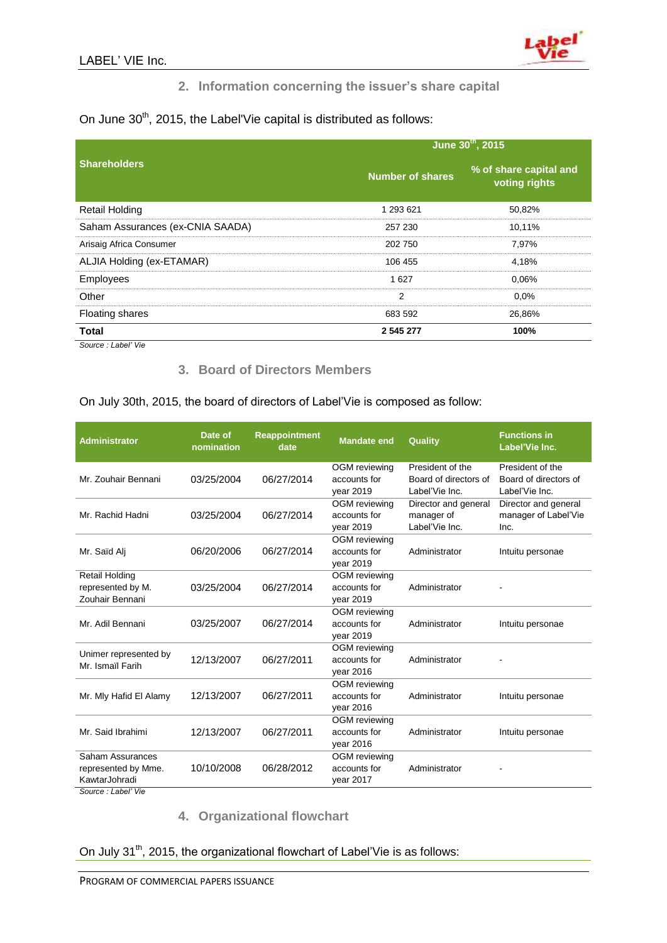

# **2. Information concerning the issuer's share capital**

On June 30<sup>th</sup>, 2015, the Label'Vie capital is distributed as follows:

|                                  | June 30th, 2015  |                                         |  |  |
|----------------------------------|------------------|-----------------------------------------|--|--|
| <b>Shareholders</b>              | Number of shares | % of share capital and<br>voting rights |  |  |
| <b>Retail Holding</b>            | 1 293 621        | 50,82%                                  |  |  |
| Saham Assurances (ex-CNIA SAADA) | 257 230          | 10.11%                                  |  |  |
| Arisaig Africa Consumer          | 202 750          | 7,97%                                   |  |  |
| ALJIA Holding (ex-ETAMAR)        | 106 455          | 4.18%                                   |  |  |
| Employees                        | 1627             | 0.06%                                   |  |  |
| Other                            | 2                | $0.0\%$                                 |  |  |
| <b>Floating shares</b>           | 683 592          | 26,86%                                  |  |  |
| <b>Total</b>                     | 2 545 277        | 100%                                    |  |  |

*Source : Label' Vie*

#### **3. Board of Directors Members**

| <b>Administrator</b>                 | Date of<br>nomination | <b>Reappointment</b><br>date | <b>Mandate end</b>            | Quality               | <b>Functions in</b><br>Label'Vie Inc. |
|--------------------------------------|-----------------------|------------------------------|-------------------------------|-----------------------|---------------------------------------|
|                                      |                       |                              | OGM reviewing                 | President of the      | President of the                      |
| Mr. Zouhair Bennani                  | 03/25/2004            | 06/27/2014                   | accounts for                  | Board of directors of | Board of directors of                 |
|                                      |                       |                              | vear 2019                     | Label'Vie Inc.        | Label'Vie Inc.                        |
|                                      |                       |                              | OGM reviewing                 | Director and general  | Director and general                  |
| Mr. Rachid Hadni                     | 03/25/2004            | 06/27/2014                   | accounts for                  | manager of            | manager of Label'Vie                  |
|                                      |                       |                              | vear 2019                     | Label'Vie Inc.        | Inc.                                  |
|                                      |                       |                              | OGM reviewing                 |                       |                                       |
| Mr. Saïd Ali                         | 06/20/2006            | 06/27/2014                   | accounts for                  | Administrator         | Intuitu personae                      |
|                                      |                       |                              | year 2019                     |                       |                                       |
| <b>Retail Holding</b>                |                       | 06/27/2014                   | OGM reviewing<br>accounts for | Administrator         |                                       |
| represented by M.<br>Zouhair Bennani | 03/25/2004            |                              | year 2019                     |                       |                                       |
|                                      |                       |                              | OGM reviewing                 |                       |                                       |
| Mr. Adil Bennani                     | 03/25/2007            | 06/27/2014                   | accounts for                  | Administrator         | Intuitu personae                      |
|                                      |                       |                              | year 2019                     |                       |                                       |
|                                      |                       |                              | OGM reviewing                 |                       |                                       |
| Unimer represented by                | 12/13/2007            | 06/27/2011                   | accounts for                  | Administrator         |                                       |
| Mr. Ismaïl Farih                     |                       |                              | year 2016                     |                       |                                       |
|                                      |                       |                              | OGM reviewing                 |                       |                                       |
| Mr. Mly Hafid El Alamy               | 12/13/2007            | 06/27/2011                   | accounts for                  | Administrator         | Intuitu personae                      |
|                                      |                       |                              | year 2016                     |                       |                                       |
|                                      |                       |                              | OGM reviewing                 |                       |                                       |
| Mr. Said Ibrahimi                    | 12/13/2007            | 06/27/2011                   | accounts for                  | Administrator         | Intuitu personae                      |
|                                      |                       |                              | year 2016                     |                       |                                       |
| Saham Assurances                     |                       |                              | OGM reviewing                 |                       |                                       |
| represented by Mme.                  | 10/10/2008            | 06/28/2012                   | accounts for                  | Administrator         |                                       |
| KawtarJohradi                        |                       |                              | year 2017                     |                       |                                       |
| Source: Label' Vie                   |                       |                              |                               |                       |                                       |

# On July 30th, 2015, the board of directors of Label'Vie is composed as follow:

# **4. Organizational flowchart**

#### On July 31<sup>th</sup>, 2015, the organizational flowchart of Label'Vie is as follows: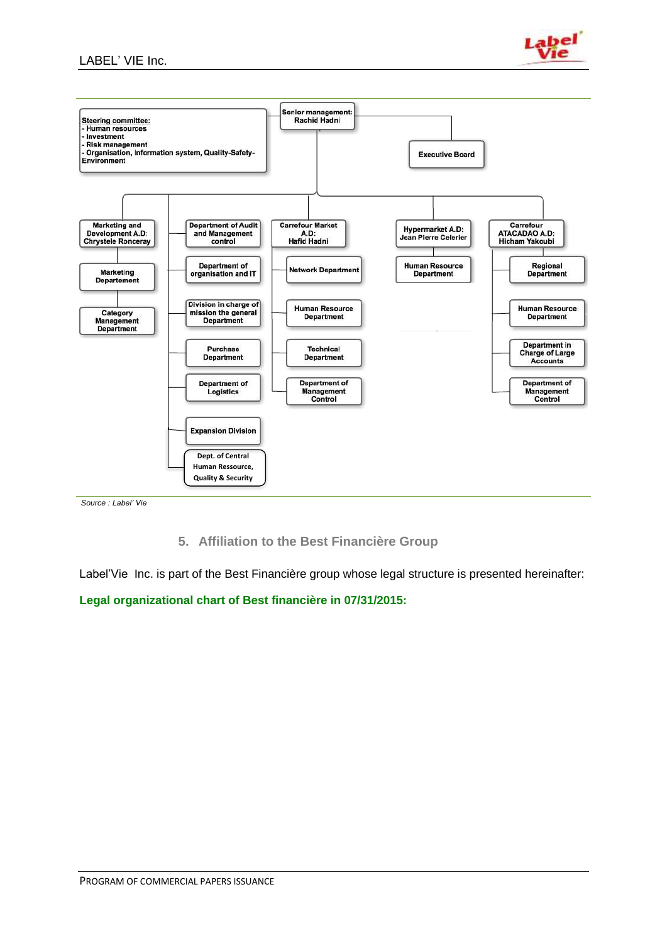#### LABEL' VIE Inc.





*Source : Label' Vie*

**5. Affiliation to the Best Financière Group**

Label'Vie Inc. is part of the Best Financière group whose legal structure is presented hereinafter:

**Legal organizational chart of Best financière in 07/31/2015:**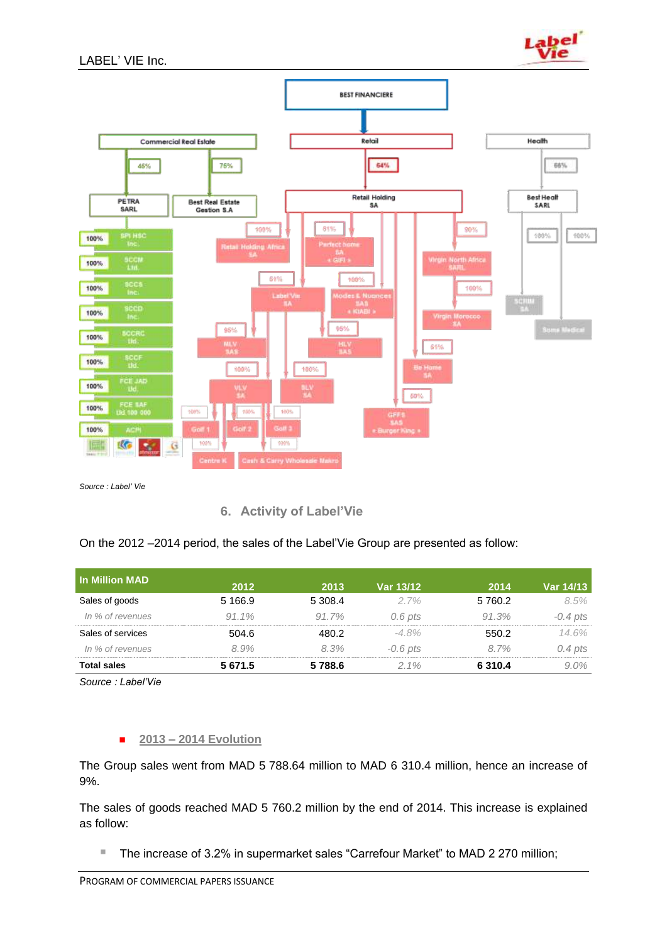



*Source : Label' Vie*

**6. Activity of Label'Vie**

| <b>In Million MAD</b> | 2012       | 2013    | Var 13/12  | 2014        | Var 14/13  |
|-----------------------|------------|---------|------------|-------------|------------|
| Sales of goods        | 5 1 6 6 .9 | 5 308.4 | $2.7\%$    | 5 760.2     | 8.5%       |
| In % of revenues      | $91.1\%$   | 91.7%   | $0.6$ pts  | 91.3%       | $-0.4$ pts |
| Sales of services     | 504.6      | 480.2   | $-4.8\%$   | 550.2       | 14.6%      |
| In % of revenues      | 8.9%       | 8.3%    | $-0.6$ pts | 8.7%        | $0.4$ pts  |
| <b>Total sales</b>    | 5 671.5    | 5788.6  | $2.1\%$    | 6 3 1 0 . 4 | $9.0\%$    |

*Source : Label'Vie*

#### **2013 – 2014 Evolution**

The Group sales went from MAD 5 788.64 million to MAD 6 310.4 million, hence an increase of 9%.

The sales of goods reached MAD 5 760.2 million by the end of 2014. This increase is explained as follow:

■ The increase of 3.2% in supermarket sales "Carrefour Market" to MAD 2 270 million;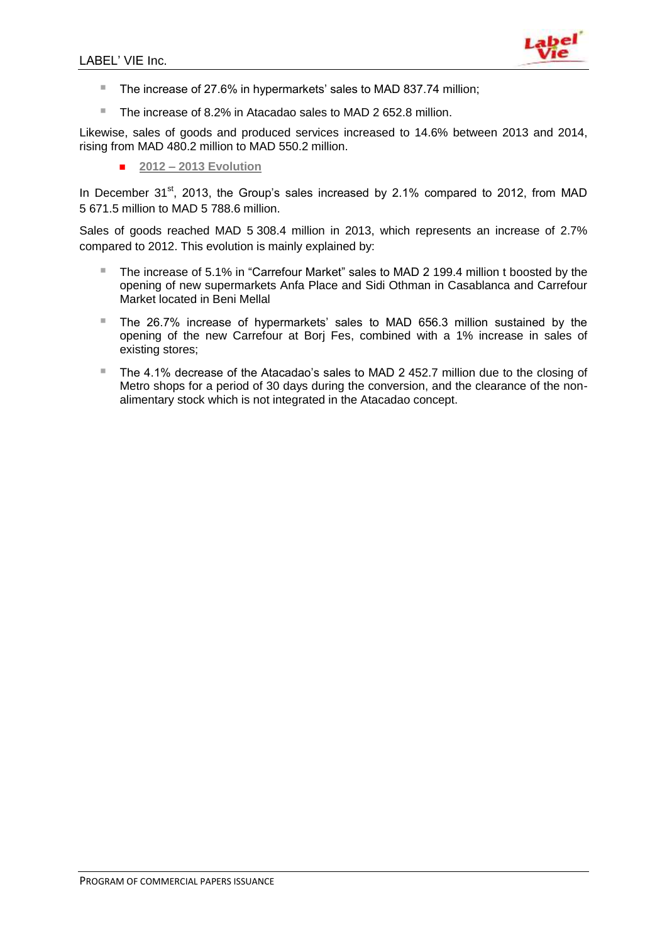

- The increase of 27.6% in hypermarkets' sales to MAD 837.74 million;
- The increase of 8.2% in Atacadao sales to MAD 2 652.8 million.

Likewise, sales of goods and produced services increased to 14.6% between 2013 and 2014, rising from MAD 480.2 million to MAD 550.2 million.

**2012 – 2013 Evolution**

In December  $31<sup>st</sup>$ , 2013, the Group's sales increased by 2.1% compared to 2012, from MAD 5 671.5 million to MAD 5 788.6 million.

Sales of goods reached MAD 5 308.4 million in 2013, which represents an increase of 2.7% compared to 2012. This evolution is mainly explained by:

- The increase of 5.1% in "Carrefour Market" sales to MAD 2 199.4 million t boosted by the opening of new supermarkets Anfa Place and Sidi Othman in Casablanca and Carrefour Market located in Beni Mellal
- The 26.7% increase of hypermarkets' sales to MAD 656.3 million sustained by the opening of the new Carrefour at Borj Fes, combined with a 1% increase in sales of existing stores;
- The 4.1% decrease of the Atacadao's sales to MAD 2 452.7 million due to the closing of Metro shops for a period of 30 days during the conversion, and the clearance of the nonalimentary stock which is not integrated in the Atacadao concept.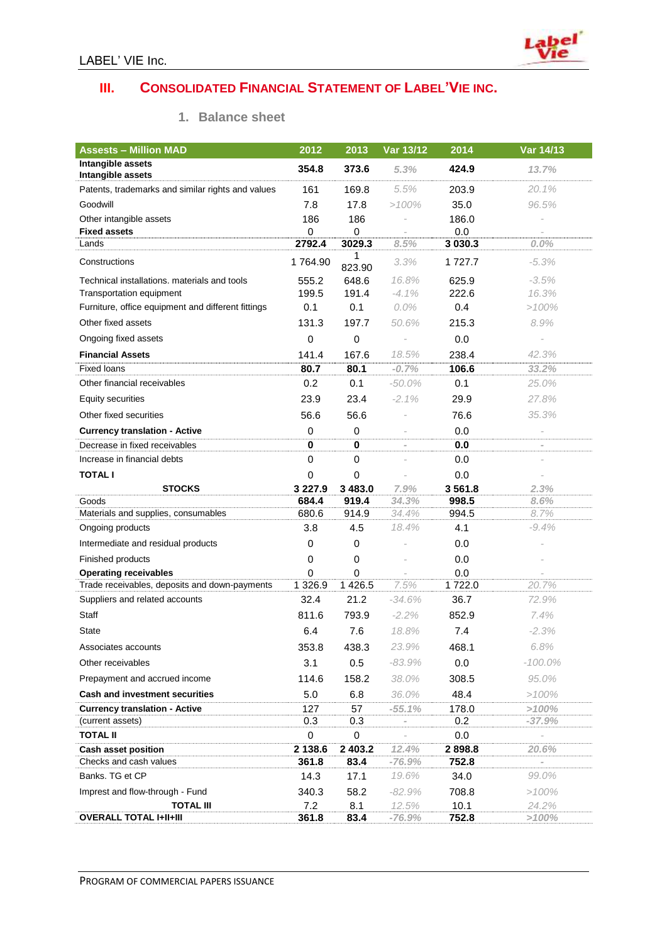# **III. CONSOLIDATED FINANCIAL STATEMENT OF LABEL'VIE INC.**

| <b>Assests - Million MAD</b>                                                  | 2012             | 2013                     | Var 13/12                | 2014             | Var 14/13                |
|-------------------------------------------------------------------------------|------------------|--------------------------|--------------------------|------------------|--------------------------|
| Intangible assets                                                             | 354.8            | 373.6                    | 5.3%                     | 424.9            | 13.7%                    |
| Intangible assets                                                             |                  |                          |                          |                  |                          |
| Patents, trademarks and similar rights and values                             | 161              | 169.8                    | 5.5%                     | 203.9            | 20.1%                    |
| Goodwill                                                                      | 7.8              | 17.8                     | >100%                    | 35.0             | 96.5%                    |
| Other intangible assets                                                       | 186              | 186                      |                          | 186.0            |                          |
| <b>Fixed assets</b><br>Lands                                                  | 0<br>2792.4      | 0<br>3029.3              | 8.5%                     | 0.0<br>3 0 3 0.3 | 0.0%                     |
|                                                                               |                  | 1                        |                          |                  |                          |
| Constructions                                                                 | 1764.90          | 823.90                   | 3.3%                     | 1 727.7          | $-5.3\%$                 |
| Technical installations, materials and tools                                  | 555.2            | 648.6                    | 16.8%                    | 625.9            | $-3.5%$                  |
| Transportation equipment                                                      | 199.5            | 191.4                    | $-4.1\%$                 | 222.6            | 16.3%                    |
| Furniture, office equipment and different fittings                            | 0.1              | 0.1                      | $0.0\%$                  | 0.4              | >100%                    |
| Other fixed assets                                                            | 131.3            | 197.7                    | 50.6%                    | 215.3            | 8.9%                     |
| Ongoing fixed assets                                                          | $\mathbf 0$      | 0                        | $\overline{\phantom{a}}$ | 0.0              |                          |
| <b>Financial Assets</b>                                                       | 141.4            | 167.6                    | 18.5%                    | 238.4            | 42.3%                    |
| <b>Fixed loans</b>                                                            | 80.7             | 80.1                     | $-0.7%$                  | 106.6            | 33.2%                    |
| Other financial receivables                                                   | 0.2              | 0.1                      | -50.0%                   | 0.1              | 25.0%                    |
| Equity securities                                                             | 23.9             | 23.4                     | $-2.1\%$                 | 29.9             | 27.8%                    |
| Other fixed securities                                                        | 56.6             | 56.6                     |                          | 76.6             | 35.3%                    |
| <b>Currency translation - Active</b>                                          | 0                | 0                        |                          | 0.0              |                          |
| Decrease in fixed receivables                                                 | 0                | $\bf{0}$                 | $\overline{\phantom{m}}$ | 0.0              | $\overline{\phantom{a}}$ |
| Increase in financial debts                                                   | 0                | $\mathbf 0$              |                          | 0.0              | $\overline{a}$           |
| <b>TOTAL I</b>                                                                | 0                | 0                        |                          | 0.0              | $\overline{\phantom{a}}$ |
| <b>STOCKS</b>                                                                 | 3 2 2 7 .9       | 3 483.0                  | 7.9%                     | 3561.8           | 2.3%                     |
| Goods                                                                         | 684.4            | 919.4                    | 34.3%                    | 998.5            | 8.6%                     |
| Materials and supplies, consumables                                           | 680.6            | 914.9                    | 34.4%                    | 994.5            | 8.7%                     |
| Ongoing products                                                              | 3.8              | 4.5                      | 18.4%                    | 4.1              | $-9.4%$                  |
| Intermediate and residual products                                            | 0                | 0                        |                          | 0.0              |                          |
| Finished products                                                             | 0                | 0                        |                          | 0.0              |                          |
| <b>Operating receivables</b><br>Trade receivables, deposits and down-payments | 0<br>1 3 2 6.9   | $\mathbf 0$<br>1 4 2 6.5 | 7.5%                     | 0.0<br>1722.0    | 20.7%                    |
| Suppliers and related accounts                                                | 32.4             | 21.2                     | $-34.6%$                 | 36.7             | 72.9%                    |
| Staff                                                                         | 811.6            | 793.9                    | $-2.2\%$                 | 852.9            | 7.4%                     |
|                                                                               |                  |                          |                          |                  |                          |
| <b>State</b>                                                                  | 6.4              | 7.6                      | 18.8%                    | 7.4              | $-2.3%$                  |
| Associates accounts                                                           | 353.8            | 438.3                    | 23.9%                    | 468.1            | 6.8%                     |
| Other receivables                                                             | 3.1              | 0.5                      | $-83.9%$                 | 0.0              | $-100.0\%$               |
| Prepayment and accrued income                                                 | 114.6            | 158.2                    | 38.0%                    | 308.5            | 95.0%                    |
| <b>Cash and investment securities</b>                                         | 5.0              | 6.8                      | 36.0%                    | 48.4             | $>100\%$                 |
| <b>Currency translation - Active</b>                                          | 127              | 57                       | $-55.1%$                 | 178.0            | >100%                    |
| (current assets)<br><b>TOTAL II</b>                                           | 0.3              | 0.3                      |                          | 0.2              | $-37.9%$                 |
|                                                                               | 0                | $\mathbf 0$              |                          | 0.0              |                          |
| Cash asset position<br>Checks and cash values                                 | 2 138.6<br>361.8 | 2 403.2<br>83.4          | 12.4%<br>$-76.9%$        | 2898.8<br>752.8  | 20.6%                    |
| Banks. TG et CP                                                               | 14.3             | 17.1                     | 19.6%                    | 34.0             | 99.0%                    |
| Imprest and flow-through - Fund                                               | 340.3            | 58.2                     | $-82.9%$                 | 708.8            | $>100\%$                 |
| <b>TOTAL III</b>                                                              | 7.2              | 8.1                      | 12.5%                    | 10.1             | 24.2%                    |
| <b>OVERALL TOTAL I+II+III</b>                                                 | 361.8            | 83.4                     | $-76.9%$                 | 752.8            | >100%                    |

#### **1. Balance sheet**

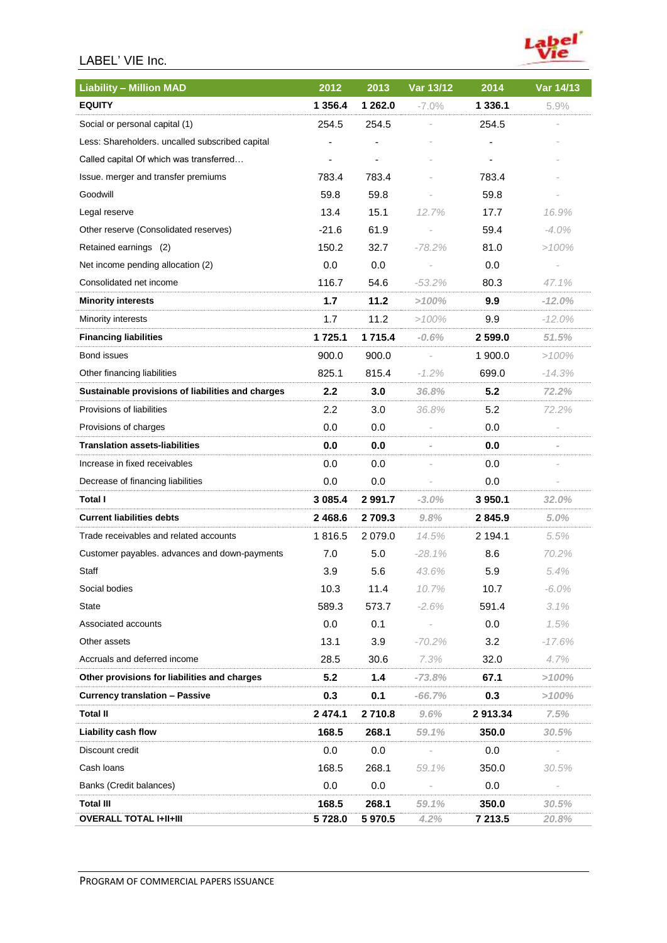# LABEL' VIE Inc.



| <b>Liability - Million MAD</b>                    | 2012             | 2013        | Var 13/12 | 2014    | Var 14/13      |
|---------------------------------------------------|------------------|-------------|-----------|---------|----------------|
| <b>EQUITY</b>                                     | 1 356.4          | 1 262.0     | $-7.0\%$  | 1 336.1 | 5.9%           |
| Social or personal capital (1)                    | 254.5            | 254.5       |           | 254.5   |                |
| Less: Shareholders. uncalled subscribed capital   |                  |             |           |         |                |
| Called capital Of which was transferred           | $\blacksquare$   | ٠           |           |         |                |
| Issue. merger and transfer premiums               | 783.4            | 783.4       |           | 783.4   |                |
| Goodwill                                          | 59.8             | 59.8        |           | 59.8    |                |
| Legal reserve                                     | 13.4             | 15.1        | 12.7%     | 17.7    | 16.9%          |
| Other reserve (Consolidated reserves)             | $-21.6$          | 61.9        |           | 59.4    | $-4.0\%$       |
| Retained earnings (2)                             | 150.2            | 32.7        | $-78.2%$  | 81.0    | >100%          |
| Net income pending allocation (2)                 | 0.0              | 0.0         |           | 0.0     |                |
| Consolidated net income                           | 116.7            | 54.6        | $-53.2\%$ | 80.3    | 47.1%          |
| <b>Minority interests</b>                         | 1.7              | 11.2        | >100%     | 9.9     | $-12.0%$       |
| Minority interests                                | 1.7              | 11.2        | $>100\%$  | 9.9     | $-12.0\%$      |
| <b>Financing liabilities</b>                      | 1725.1           | 1 715.4     | $-0.6%$   | 2 599.0 | 51.5%          |
| Bond issues                                       | 900.0            | 900.0       |           | 1 900.0 | $>100\%$       |
| Other financing liabilities                       | 825.1            | 815.4       | $-1.2\%$  | 699.0   | $-14.3%$       |
| Sustainable provisions of liabilities and charges | $2.2\phantom{0}$ | 3.0         | 36.8%     | 5.2     | 72.2%          |
| Provisions of liabilities                         | 2.2              | 3.0         | 36.8%     | 5.2     | 72.2%          |
| Provisions of charges                             | 0.0              | 0.0         |           | 0.0     |                |
| <b>Translation assets-liabilities</b>             | 0.0              | 0.0         |           | 0.0     | $\overline{a}$ |
| Increase in fixed receivables                     | 0.0              | 0.0         |           | 0.0     |                |
| Decrease of financing liabilities                 | 0.0              | 0.0         |           | 0.0     |                |
| Total I                                           | 3 0 8 5 . 4      | 2 9 9 1 . 7 | $-3.0\%$  | 3 950.1 | 32.0%          |
| <b>Current liabilities debts</b>                  | 2 4 6 8.6        | 2 709.3     | 9.8%      | 2845.9  | 5.0%           |
| Trade receivables and related accounts            | 1816.5           | 2 0 7 9 .0  | 14.5%     | 2 194.1 | 5.5%           |
| Customer payables. advances and down-payments     | 7.0              | 5.0         | $-28.1\%$ | 8.6     | 70.2%          |
| Staff                                             | 3.9              | 5.6         | 43.6%     | 5.9     | 5.4%           |
| Social bodies                                     | 10.3             | 11.4        | 10.7%     | 10.7    | $-6.0\%$       |
| State                                             | 589.3            | 573.7       | $-2.6%$   | 591.4   | 3.1%           |
| Associated accounts                               | 0.0              | 0.1         |           | 0.0     | 1.5%           |
| Other assets                                      | 13.1             | 3.9         | $-70.2%$  | 3.2     | $-17.6%$       |
| Accruals and deferred income                      | 28.5             | 30.6        | 7.3%      | 32.0    | 4.7%           |
| Other provisions for liabilities and charges      | 5.2              | 1.4         | $-73.8%$  | 67.1    | >100%          |
| <b>Currency translation - Passive</b>             | 0.3              | 0.1         | $-66.7%$  | 0.3     | >100%          |
| <b>Total II</b>                                   | 2 474.1          | 2 710.8     | $9.6\%$   | 2913.34 | 7.5%           |
| <b>Liability cash flow</b>                        | 168.5            | 268.1       | 59.1%     | 350.0   | 30.5%          |
| Discount credit                                   | 0.0              | 0.0         |           | 0.0     |                |
| Cash loans                                        | 168.5            | 268.1       | 59.1%     | 350.0   | 30.5%          |
| Banks (Credit balances)                           | 0.0              | 0.0         |           | 0.0     |                |
| <b>Total III</b>                                  | 168.5            | 268.1       | 59.1%     | 350.0   | 30.5%          |
| <b>OVERALL TOTAL I+II+III</b>                     | 5728.0           | 5 970.5     | 4.2%      | 7 213.5 | 20.8%          |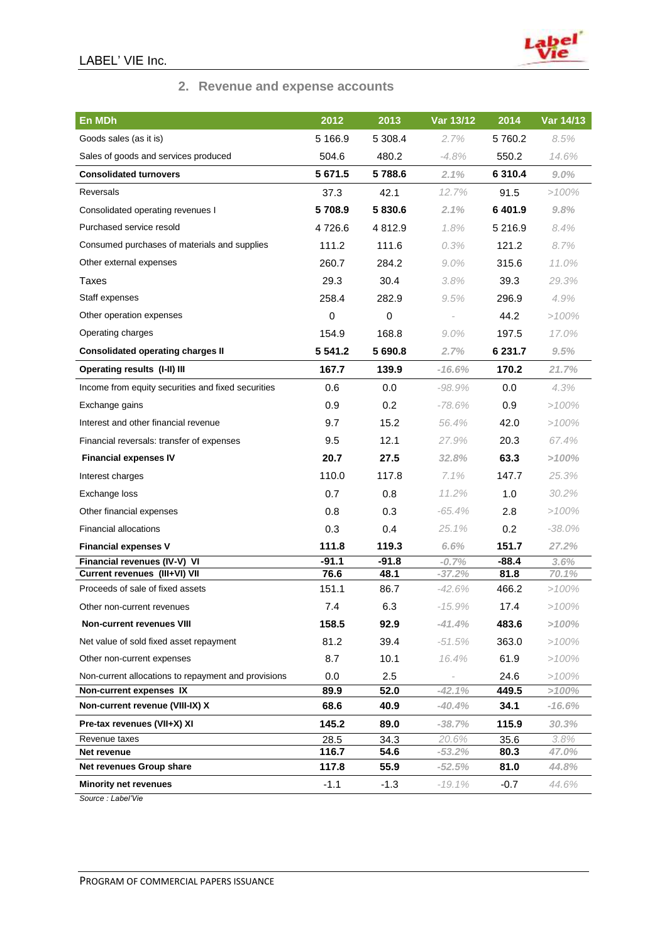

# **2. Revenue and expense accounts**

| En MDh                                              | 2012        | 2013        | Var 13/12 | 2014       | Var 14/13 |
|-----------------------------------------------------|-------------|-------------|-----------|------------|-----------|
| Goods sales (as it is)                              | 5 166.9     | 5 308.4     | 2.7%      | 5760.2     | 8.5%      |
| Sales of goods and services produced                | 504.6       | 480.2       | -4.8%     | 550.2      | 14.6%     |
| <b>Consolidated turnovers</b>                       | 5 671.5     | 5788.6      | 2.1%      | 6 310.4    | 9.0%      |
| <b>Reversals</b>                                    | 37.3        | 42.1        | 12.7%     | 91.5       | $>100\%$  |
| Consolidated operating revenues I                   | 5708.9      | 5830.6      | 2.1%      | 6401.9     | 9.8%      |
| Purchased service resold                            | 4726.6      | 4 8 1 2 . 9 | 1.8%      | 5 2 1 6 .9 | $8.4\%$   |
| Consumed purchases of materials and supplies        | 111.2       | 111.6       | 0.3%      | 121.2      | 8.7%      |
| Other external expenses                             | 260.7       | 284.2       | $9.0\%$   | 315.6      | 11.0%     |
| Taxes                                               | 29.3        | 30.4        | 3.8%      | 39.3       | 29.3%     |
| Staff expenses                                      | 258.4       | 282.9       | 9.5%      | 296.9      | 4.9%      |
| Other operation expenses                            | 0           | $\pmb{0}$   |           | 44.2       | $>100\%$  |
| Operating charges                                   | 154.9       | 168.8       | $9.0\%$   | 197.5      | 17.0%     |
| <b>Consolidated operating charges II</b>            | 5 5 4 1 . 2 | 5 690.8     | 2.7%      | 6 231.7    | 9.5%      |
| Operating results (I-II) III                        | 167.7       | 139.9       | $-16.6%$  | 170.2      | 21.7%     |
| Income from equity securities and fixed securities  | 0.6         | 0.0         | $-98.9%$  | 0.0        | 4.3%      |
| Exchange gains                                      | 0.9         | 0.2         | $-78.6%$  | 0.9        | >100%     |
| Interest and other financial revenue                | 9.7         | 15.2        | 56.4%     | 42.0       | $>100\%$  |
| Financial reversals: transfer of expenses           | 9.5         | 12.1        | 27.9%     | 20.3       | 67.4%     |
| <b>Financial expenses IV</b>                        | 20.7        | 27.5        | 32.8%     | 63.3       | >100%     |
| Interest charges                                    | 110.0       | 117.8       | $7.1\%$   | 147.7      | 25.3%     |
| Exchange loss                                       | 0.7         | 0.8         | 11.2%     | 1.0        | 30.2%     |
| Other financial expenses                            | 0.8         | 0.3         | $-65.4%$  | 2.8        | $>100\%$  |
| <b>Financial allocations</b>                        | 0.3         | 0.4         | 25.1%     | 0.2        | $-38.0\%$ |
| <b>Financial expenses V</b>                         | 111.8       | 119.3       | 6.6%      | 151.7      | 27.2%     |
| Financial revenues (IV-V) VI                        | $-91.1$     | $-91.8$     | $-0.7%$   | $-88.4$    | 3.6%      |
| Current revenues (III+VI) VII                       | 76.6        | 48.1        | $-37.2%$  | 81.8       | 70.1%     |
| Proceeds of sale of fixed assets                    | 151.1       | 86.7        | $-42.6%$  | 466.2      | >100%     |
| Other non-current revenues                          | 7.4         | 6.3         | $-15.9%$  | 17.4       | >100%     |
| <b>Non-current revenues VIII</b>                    | 158.5       | 92.9        | $-41.4%$  | 483.6      | >100%     |
| Net value of sold fixed asset repayment             | 81.2        | 39.4        | $-51.5%$  | 363.0      | $>100\%$  |
| Other non-current expenses                          | 8.7         | 10.1        | 16.4%     | 61.9       | $>100\%$  |
| Non-current allocations to repayment and provisions | 0.0         | 2.5         |           | 24.6       | $>100\%$  |
| Non-current expenses IX                             | 89.9        | 52.0        | $-42.1%$  | 449.5      | >100%     |
| Non-current revenue (VIII-IX) X                     | 68.6        | 40.9        | -40.4%    | 34.1       | $-16.6%$  |
| Pre-tax revenues (VII+X) XI                         | 145.2       | 89.0        | $-38.7%$  | 115.9      | 30.3%     |
| Revenue taxes                                       | 28.5        | 34.3        | 20.6%     | 35.6       | 3.8%      |
| Net revenue                                         | 116.7       | 54.6        | $-53.2%$  | 80.3       | 47.0%     |
| Net revenues Group share                            | 117.8       | 55.9        | $-52.5%$  | 81.0       | 44.8%     |
| <b>Minority net revenues</b>                        | $-1.1$      | $-1.3$      | $-19.1%$  | $-0.7$     | 44.6%     |

*Source : Label'Vie*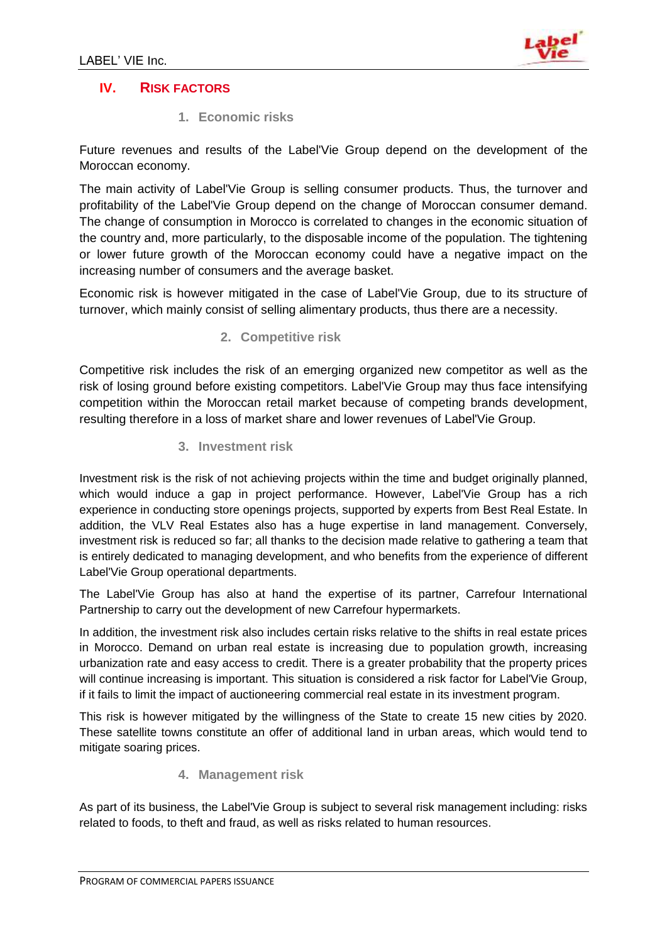

# **IV. RISK FACTORS**

**1. Economic risks** 

Future revenues and results of the Label'Vie Group depend on the development of the Moroccan economy.

The main activity of Label'Vie Group is selling consumer products. Thus, the turnover and profitability of the Label'Vie Group depend on the change of Moroccan consumer demand. The change of consumption in Morocco is correlated to changes in the economic situation of the country and, more particularly, to the disposable income of the population. The tightening or lower future growth of the Moroccan economy could have a negative impact on the increasing number of consumers and the average basket.

Economic risk is however mitigated in the case of Label'Vie Group, due to its structure of turnover, which mainly consist of selling alimentary products, thus there are a necessity.

**2. Competitive risk**

Competitive risk includes the risk of an emerging organized new competitor as well as the risk of losing ground before existing competitors. Label'Vie Group may thus face intensifying competition within the Moroccan retail market because of competing brands development, resulting therefore in a loss of market share and lower revenues of Label'Vie Group.

**3. Investment risk**

Investment risk is the risk of not achieving projects within the time and budget originally planned, which would induce a gap in project performance. However, Label'Vie Group has a rich experience in conducting store openings projects, supported by experts from Best Real Estate. In addition, the VLV Real Estates also has a huge expertise in land management. Conversely, investment risk is reduced so far; all thanks to the decision made relative to gathering a team that is entirely dedicated to managing development, and who benefits from the experience of different Label'Vie Group operational departments.

The Label'Vie Group has also at hand the expertise of its partner, Carrefour International Partnership to carry out the development of new Carrefour hypermarkets.

In addition, the investment risk also includes certain risks relative to the shifts in real estate prices in Morocco. Demand on urban real estate is increasing due to population growth, increasing urbanization rate and easy access to credit. There is a greater probability that the property prices will continue increasing is important. This situation is considered a risk factor for Label'Vie Group, if it fails to limit the impact of auctioneering commercial real estate in its investment program.

This risk is however mitigated by the willingness of the State to create 15 new cities by 2020. These satellite towns constitute an offer of additional land in urban areas, which would tend to mitigate soaring prices.

# **4. Management risk**

As part of its business, the Label'Vie Group is subject to several risk management including: risks related to foods, to theft and fraud, as well as risks related to human resources.